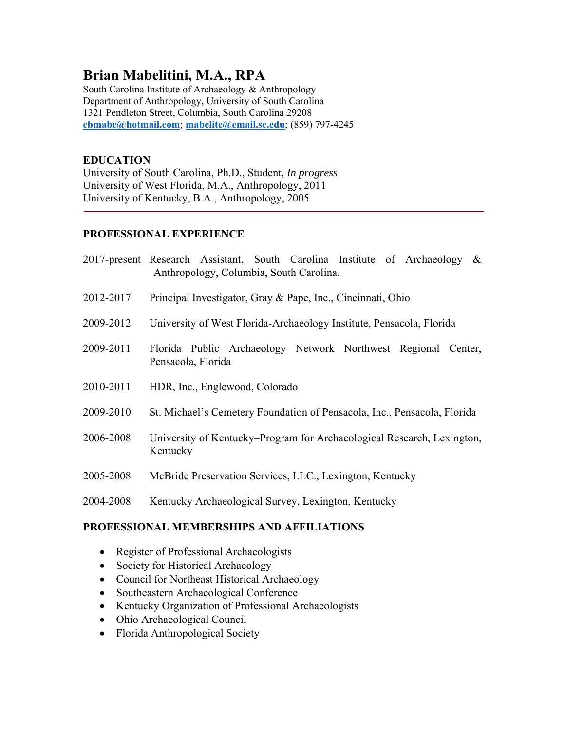# **Brian Mabelitini, M.A., RPA**

South Carolina Institute of Archaeology & Anthropology Department of Anthropology, University of South Carolina 1321 Pendleton Street, Columbia, South Carolina 29208 **cbmabe@hotmail.com**; **mabelitc@email.sc.edu**; (859) 797-4245

# **EDUCATION**

University of South Carolina, Ph.D., Student, *In progress*  University of West Florida, M.A., Anthropology, 2011 University of Kentucky, B.A., Anthropology, 2005

# **PROFESSIONAL EXPERIENCE**

|           | 2017-present Research Assistant, South Carolina Institute of Archaeology<br>$\&$<br>Anthropology, Columbia, South Carolina. |
|-----------|-----------------------------------------------------------------------------------------------------------------------------|
| 2012-2017 | Principal Investigator, Gray & Pape, Inc., Cincinnati, Ohio                                                                 |
| 2009-2012 | University of West Florida-Archaeology Institute, Pensacola, Florida                                                        |
| 2009-2011 | Florida Public Archaeology Network Northwest Regional Center,<br>Pensacola, Florida                                         |
| 2010-2011 | HDR, Inc., Englewood, Colorado                                                                                              |
| 2009-2010 | St. Michael's Cemetery Foundation of Pensacola, Inc., Pensacola, Florida                                                    |
| 2006-2008 | University of Kentucky–Program for Archaeological Research, Lexington,<br>Kentucky                                          |
| 2005-2008 | McBride Preservation Services, LLC., Lexington, Kentucky                                                                    |
| 2004-2008 | Kentucky Archaeological Survey, Lexington, Kentucky                                                                         |

# **PROFESSIONAL MEMBERSHIPS AND AFFILIATIONS**

- Register of Professional Archaeologists
- Society for Historical Archaeology
- Council for Northeast Historical Archaeology
- Southeastern Archaeological Conference
- Kentucky Organization of Professional Archaeologists
- Ohio Archaeological Council
- Florida Anthropological Society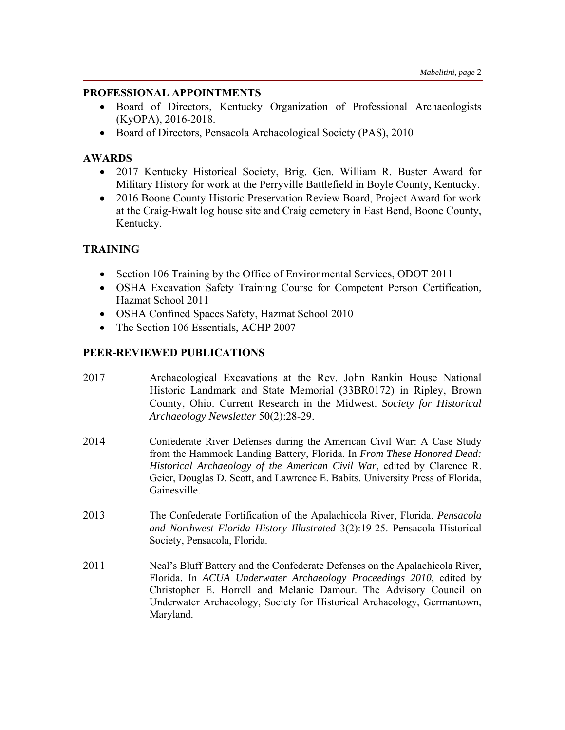#### **PROFESSIONAL APPOINTMENTS**

- Board of Directors, Kentucky Organization of Professional Archaeologists (KyOPA), 2016-2018.
- Board of Directors, Pensacola Archaeological Society (PAS), 2010

### **AWARDS**

- 2017 Kentucky Historical Society, Brig. Gen. William R. Buster Award for Military History for work at the Perryville Battlefield in Boyle County, Kentucky.
- 2016 Boone County Historic Preservation Review Board, Project Award for work at the Craig-Ewalt log house site and Craig cemetery in East Bend, Boone County, Kentucky.

# **TRAINING**

- Section 106 Training by the Office of Environmental Services, ODOT 2011
- OSHA Excavation Safety Training Course for Competent Person Certification, Hazmat School 2011
- OSHA Confined Spaces Safety, Hazmat School 2010
- The Section 106 Essentials, ACHP 2007

### **PEER-REVIEWED PUBLICATIONS**

- 2017 Archaeological Excavations at the Rev. John Rankin House National Historic Landmark and State Memorial (33BR0172) in Ripley, Brown County, Ohio. Current Research in the Midwest. *Society for Historical Archaeology Newsletter* 50(2):28-29.
- 2014 Confederate River Defenses during the American Civil War: A Case Study from the Hammock Landing Battery, Florida. In *From These Honored Dead: Historical Archaeology of the American Civil War*, edited by Clarence R. Geier, Douglas D. Scott, and Lawrence E. Babits. University Press of Florida, Gainesville.
- 2013The Confederate Fortification of the Apalachicola River, Florida. *Pensacola and Northwest Florida History Illustrated* 3(2):19-25. Pensacola Historical Society, Pensacola, Florida.
- 2011 Neal's Bluff Battery and the Confederate Defenses on the Apalachicola River, Florida. In *ACUA Underwater Archaeology Proceedings 2010*, edited by Christopher E. Horrell and Melanie Damour. The Advisory Council on Underwater Archaeology, Society for Historical Archaeology, Germantown, Maryland.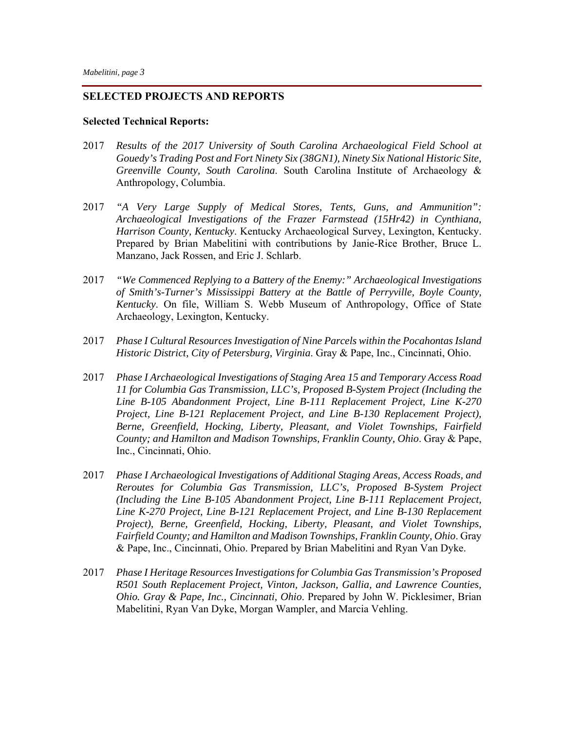#### **SELECTED PROJECTS AND REPORTS**

#### **Selected Technical Reports:**

- 2017 *Results of the 2017 University of South Carolina Archaeological Field School at Gouedy's Trading Post and Fort Ninety Six (38GN1), Ninety Six National Historic Site, Greenville County, South Carolina*. South Carolina Institute of Archaeology & Anthropology, Columbia.
- 2017 *"A Very Large Supply of Medical Stores, Tents, Guns, and Ammunition": Archaeological Investigations of the Frazer Farmstead (15Hr42) in Cynthiana, Harrison County, Kentucky*. Kentucky Archaeological Survey, Lexington, Kentucky. Prepared by Brian Mabelitini with contributions by Janie-Rice Brother, Bruce L. Manzano, Jack Rossen, and Eric J. Schlarb.
- 2017 *"We Commenced Replying to a Battery of the Enemy:" Archaeological Investigations of Smith's-Turner's Mississippi Battery at the Battle of Perryville, Boyle County, Kentucky*. On file, William S. Webb Museum of Anthropology, Office of State Archaeology, Lexington, Kentucky.
- 2017 *Phase I Cultural Resources Investigation of Nine Parcels within the Pocahontas Island Historic District, City of Petersburg, Virginia*. Gray & Pape, Inc., Cincinnati, Ohio.
- 2017 *Phase I Archaeological Investigations of Staging Area 15 and Temporary Access Road 11 for Columbia Gas Transmission, LLC's, Proposed B-System Project (Including the Line B-105 Abandonment Project, Line B-111 Replacement Project, Line K-270 Project, Line B-121 Replacement Project, and Line B-130 Replacement Project), Berne, Greenfield, Hocking, Liberty, Pleasant, and Violet Townships, Fairfield County; and Hamilton and Madison Townships, Franklin County, Ohio*. Gray & Pape, Inc., Cincinnati, Ohio.
- 2017 *Phase I Archaeological Investigations of Additional Staging Areas, Access Roads, and Reroutes for Columbia Gas Transmission, LLC's, Proposed B-System Project (Including the Line B-105 Abandonment Project, Line B-111 Replacement Project, Line K-270 Project, Line B-121 Replacement Project, and Line B-130 Replacement Project), Berne, Greenfield, Hocking, Liberty, Pleasant, and Violet Townships, Fairfield County; and Hamilton and Madison Townships, Franklin County, Ohio*. Gray & Pape, Inc., Cincinnati, Ohio. Prepared by Brian Mabelitini and Ryan Van Dyke.
- 2017 *Phase I Heritage Resources Investigations for Columbia Gas Transmission's Proposed R501 South Replacement Project, Vinton, Jackson, Gallia, and Lawrence Counties, Ohio. Gray & Pape, Inc., Cincinnati, Ohio*. Prepared by John W. Picklesimer, Brian Mabelitini, Ryan Van Dyke, Morgan Wampler, and Marcia Vehling.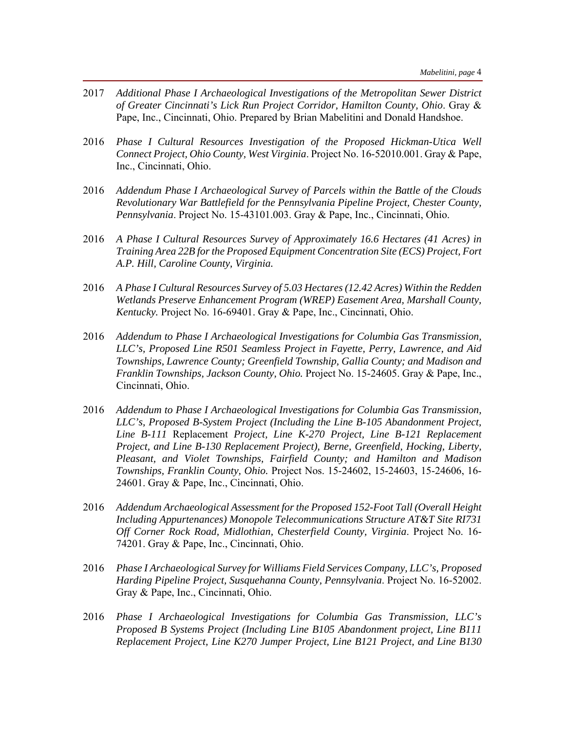- 2017 *Additional Phase I Archaeological Investigations of the Metropolitan Sewer District of Greater Cincinnati's Lick Run Project Corridor, Hamilton County, Ohio*. Gray & Pape, Inc., Cincinnati, Ohio. Prepared by Brian Mabelitini and Donald Handshoe.
- 2016 *Phase I Cultural Resources Investigation of the Proposed Hickman-Utica Well Connect Project, Ohio County, West Virginia*. Project No. 16-52010.001. Gray & Pape, Inc., Cincinnati, Ohio.
- 2016 *Addendum Phase I Archaeological Survey of Parcels within the Battle of the Clouds Revolutionary War Battlefield for the Pennsylvania Pipeline Project, Chester County, Pennsylvania*. Project No. 15-43101.003. Gray & Pape, Inc., Cincinnati, Ohio.
- 2016 *A Phase I Cultural Resources Survey of Approximately 16.6 Hectares (41 Acres) in Training Area 22B for the Proposed Equipment Concentration Site (ECS) Project, Fort A.P. Hill, Caroline County, Virginia.*
- 2016 *A Phase I Cultural Resources Survey of 5.03 Hectares (12.42 Acres) Within the Redden Wetlands Preserve Enhancement Program (WREP) Easement Area, Marshall County, Kentucky.* Project No. 16-69401. Gray & Pape, Inc., Cincinnati, Ohio.
- 2016 *Addendum to Phase I Archaeological Investigations for Columbia Gas Transmission, LLC's, Proposed Line R501 Seamless Project in Fayette, Perry, Lawrence, and Aid Townships, Lawrence County; Greenfield Township, Gallia County; and Madison and Franklin Townships, Jackson County, Ohio.* Project No. 15-24605. Gray & Pape, Inc., Cincinnati, Ohio.
- 2016 *Addendum to Phase I Archaeological Investigations for Columbia Gas Transmission, LLC's, Proposed B-System Project (Including the Line B-105 Abandonment Project, Line B-111* Replacement *Project, Line K-270 Project, Line B-121 Replacement Project, and Line B-130 Replacement Project), Berne, Greenfield, Hocking, Liberty, Pleasant, and Violet Townships, Fairfield County; and Hamilton and Madison Townships, Franklin County, Ohio.* Project Nos. 15-24602, 15-24603, 15-24606, 16- 24601. Gray & Pape, Inc., Cincinnati, Ohio.
- 2016 *Addendum Archaeological Assessment for the Proposed 152-Foot Tall (Overall Height Including Appurtenances) Monopole Telecommunications Structure AT&T Site RI731 Off Corner Rock Road, Midlothian, Chesterfield County, Virginia*. Project No. 16- 74201. Gray & Pape, Inc., Cincinnati, Ohio.
- 2016 *Phase I Archaeological Survey for Williams Field Services Company, LLC's, Proposed Harding Pipeline Project, Susquehanna County, Pennsylvania*. Project No. 16-52002. Gray & Pape, Inc., Cincinnati, Ohio.
- 2016 *Phase I Archaeological Investigations for Columbia Gas Transmission, LLC's Proposed B Systems Project (Including Line B105 Abandonment project, Line B111 Replacement Project, Line K270 Jumper Project, Line B121 Project, and Line B130*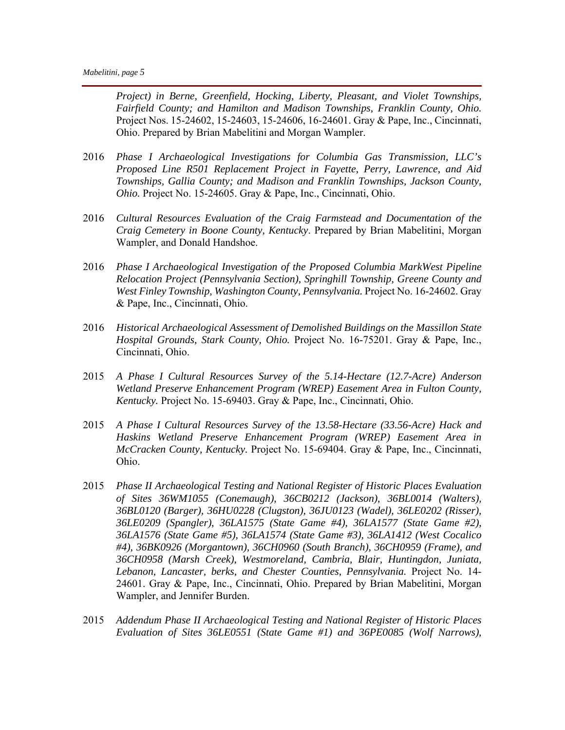*Project) in Berne, Greenfield, Hocking, Liberty, Pleasant, and Violet Townships, Fairfield County; and Hamilton and Madison Townships, Franklin County, Ohio.*  Project Nos. 15-24602, 15-24603, 15-24606, 16-24601. Gray & Pape, Inc., Cincinnati, Ohio. Prepared by Brian Mabelitini and Morgan Wampler.

- 2016 *Phase I Archaeological Investigations for Columbia Gas Transmission, LLC's Proposed Line R501 Replacement Project in Fayette, Perry, Lawrence, and Aid Townships, Gallia County; and Madison and Franklin Townships, Jackson County, Ohio.* Project No. 15-24605. Gray & Pape, Inc., Cincinnati, Ohio.
- 2016 *Cultural Resources Evaluation of the Craig Farmstead and Documentation of the Craig Cemetery in Boone County, Kentucky*. Prepared by Brian Mabelitini, Morgan Wampler, and Donald Handshoe.
- 2016 *Phase I Archaeological Investigation of the Proposed Columbia MarkWest Pipeline Relocation Project (Pennsylvania Section), Springhill Township, Greene County and West Finley Township, Washington County, Pennsylvania.* Project No. 16-24602. Gray & Pape, Inc., Cincinnati, Ohio.
- 2016 *Historical Archaeological Assessment of Demolished Buildings on the Massillon State Hospital Grounds, Stark County, Ohio.* Project No. 16-75201. Gray & Pape, Inc., Cincinnati, Ohio.
- 2015 *A Phase I Cultural Resources Survey of the 5.14-Hectare (12.7-Acre) Anderson Wetland Preserve Enhancement Program (WREP) Easement Area in Fulton County, Kentucky.* Project No. 15-69403. Gray & Pape, Inc., Cincinnati, Ohio.
- 2015 *A Phase I Cultural Resources Survey of the 13.58-Hectare (33.56-Acre) Hack and Haskins Wetland Preserve Enhancement Program (WREP) Easement Area in McCracken County, Kentucky.* Project No. 15-69404. Gray & Pape, Inc., Cincinnati, Ohio.
- 2015 *Phase II Archaeological Testing and National Register of Historic Places Evaluation of Sites 36WM1055 (Conemaugh), 36CB0212 (Jackson), 36BL0014 (Walters), 36BL0120 (Barger), 36HU0228 (Clugston), 36JU0123 (Wadel), 36LE0202 (Risser), 36LE0209 (Spangler), 36LA1575 (State Game #4), 36LA1577 (State Game #2), 36LA1576 (State Game #5), 36LA1574 (State Game #3), 36LA1412 (West Cocalico #4), 36BK0926 (Morgantown), 36CH0960 (South Branch), 36CH0959 (Frame), and 36CH0958 (Marsh Creek), Westmoreland, Cambria, Blair, Huntingdon, Juniata, Lebanon, Lancaster, berks, and Chester Counties, Pennsylvania.* Project No. 14- 24601. Gray & Pape, Inc., Cincinnati, Ohio. Prepared by Brian Mabelitini, Morgan Wampler, and Jennifer Burden.
- 2015 *Addendum Phase II Archaeological Testing and National Register of Historic Places Evaluation of Sites 36LE0551 (State Game #1) and 36PE0085 (Wolf Narrows),*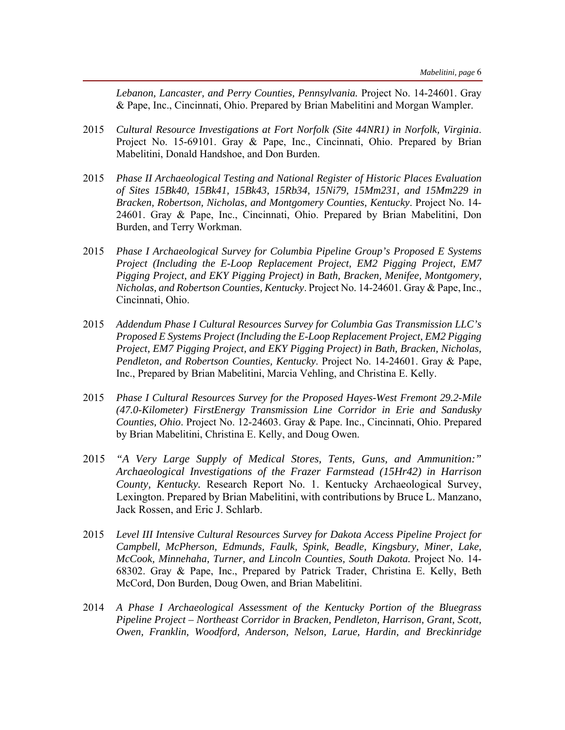*Lebanon, Lancaster, and Perry Counties, Pennsylvania.* Project No. 14-24601. Gray & Pape, Inc., Cincinnati, Ohio. Prepared by Brian Mabelitini and Morgan Wampler.

- 2015 *Cultural Resource Investigations at Fort Norfolk (Site 44NR1) in Norfolk, Virginia*. Project No. 15-69101. Gray & Pape, Inc., Cincinnati, Ohio. Prepared by Brian Mabelitini, Donald Handshoe, and Don Burden.
- 2015 *Phase II Archaeological Testing and National Register of Historic Places Evaluation of Sites 15Bk40, 15Bk41, 15Bk43, 15Rb34, 15Ni79, 15Mm231, and 15Mm229 in Bracken, Robertson, Nicholas, and Montgomery Counties, Kentucky*. Project No. 14- 24601. Gray & Pape, Inc., Cincinnati, Ohio. Prepared by Brian Mabelitini, Don Burden, and Terry Workman.
- 2015 *Phase I Archaeological Survey for Columbia Pipeline Group's Proposed E Systems Project (Including the E-Loop Replacement Project, EM2 Pigging Project, EM7 Pigging Project, and EKY Pigging Project) in Bath, Bracken, Menifee, Montgomery, Nicholas, and Robertson Counties, Kentucky*. Project No. 14-24601. Gray & Pape, Inc., Cincinnati, Ohio.
- 2015 *Addendum Phase I Cultural Resources Survey for Columbia Gas Transmission LLC's Proposed E Systems Project (Including the E-Loop Replacement Project, EM2 Pigging Project, EM7 Pigging Project, and EKY Pigging Project) in Bath, Bracken, Nicholas, Pendleton, and Robertson Counties, Kentucky*. Project No. 14-24601. Gray & Pape, Inc., Prepared by Brian Mabelitini, Marcia Vehling, and Christina E. Kelly.
- 2015 *Phase I Cultural Resources Survey for the Proposed Hayes-West Fremont 29.2-Mile (47.0-Kilometer) FirstEnergy Transmission Line Corridor in Erie and Sandusky Counties, Ohio*. Project No. 12-24603. Gray & Pape. Inc., Cincinnati, Ohio. Prepared by Brian Mabelitini, Christina E. Kelly, and Doug Owen.
- 2015 *"A Very Large Supply of Medical Stores, Tents, Guns, and Ammunition:" Archaeological Investigations of the Frazer Farmstead (15Hr42) in Harrison County, Kentucky.* Research Report No. 1. Kentucky Archaeological Survey, Lexington. Prepared by Brian Mabelitini, with contributions by Bruce L. Manzano, Jack Rossen, and Eric J. Schlarb.
- 2015 *Level III Intensive Cultural Resources Survey for Dakota Access Pipeline Project for Campbell, McPherson, Edmunds, Faulk, Spink, Beadle, Kingsbury, Miner, Lake, McCook, Minnehaha, Turner, and Lincoln Counties, South Dakota.* Project No. 14- 68302. Gray & Pape, Inc., Prepared by Patrick Trader, Christina E. Kelly, Beth McCord, Don Burden, Doug Owen, and Brian Mabelitini.
- 2014 *A Phase I Archaeological Assessment of the Kentucky Portion of the Bluegrass Pipeline Project – Northeast Corridor in Bracken, Pendleton, Harrison, Grant, Scott, Owen, Franklin, Woodford, Anderson, Nelson, Larue, Hardin, and Breckinridge*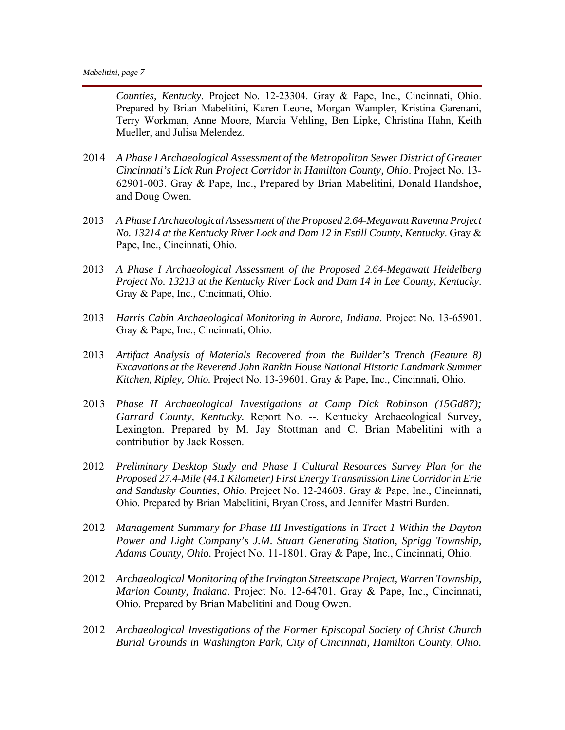*Counties, Kentucky*. Project No. 12-23304. Gray & Pape, Inc., Cincinnati, Ohio. Prepared by Brian Mabelitini, Karen Leone, Morgan Wampler, Kristina Garenani, Terry Workman, Anne Moore, Marcia Vehling, Ben Lipke, Christina Hahn, Keith Mueller, and Julisa Melendez.

- 2014 *A Phase I Archaeological Assessment of the Metropolitan Sewer District of Greater Cincinnati's Lick Run Project Corridor in Hamilton County, Ohio*. Project No. 13- 62901-003. Gray & Pape, Inc., Prepared by Brian Mabelitini, Donald Handshoe, and Doug Owen.
- 2013 *A Phase I Archaeological Assessment of the Proposed 2.64-Megawatt Ravenna Project No. 13214 at the Kentucky River Lock and Dam 12 in Estill County, Kentucky*. Gray & Pape, Inc., Cincinnati, Ohio.
- 2013 *A Phase I Archaeological Assessment of the Proposed 2.64-Megawatt Heidelberg Project No. 13213 at the Kentucky River Lock and Dam 14 in Lee County, Kentucky*. Gray & Pape, Inc., Cincinnati, Ohio.
- 2013 *Harris Cabin Archaeological Monitoring in Aurora, Indiana*. Project No. 13-65901. Gray & Pape, Inc., Cincinnati, Ohio.
- 2013 *Artifact Analysis of Materials Recovered from the Builder's Trench (Feature 8) Excavations at the Reverend John Rankin House National Historic Landmark Summer Kitchen, Ripley, Ohio.* Project No. 13-39601. Gray & Pape, Inc., Cincinnati, Ohio.
- 2013 *Phase II Archaeological Investigations at Camp Dick Robinson (15Gd87); Garrard County, Kentucky.* Report No. --. Kentucky Archaeological Survey, Lexington. Prepared by M. Jay Stottman and C. Brian Mabelitini with a contribution by Jack Rossen.
- 2012 *Preliminary Desktop Study and Phase I Cultural Resources Survey Plan for the Proposed 27.4-Mile (44.1 Kilometer) First Energy Transmission Line Corridor in Erie and Sandusky Counties, Ohio*. Project No. 12-24603. Gray & Pape, Inc., Cincinnati, Ohio. Prepared by Brian Mabelitini, Bryan Cross, and Jennifer Mastri Burden.
- 2012 *Management Summary for Phase III Investigations in Tract 1 Within the Dayton Power and Light Company's J.M. Stuart Generating Station, Sprigg Township, Adams County, Ohio.* Project No. 11-1801. Gray & Pape, Inc., Cincinnati, Ohio.
- 2012 *Archaeological Monitoring of the Irvington Streetscape Project, Warren Township, Marion County, Indiana*. Project No. 12-64701. Gray & Pape, Inc., Cincinnati, Ohio. Prepared by Brian Mabelitini and Doug Owen.
- 2012 *Archaeological Investigations of the Former Episcopal Society of Christ Church Burial Grounds in Washington Park, City of Cincinnati, Hamilton County, Ohio.*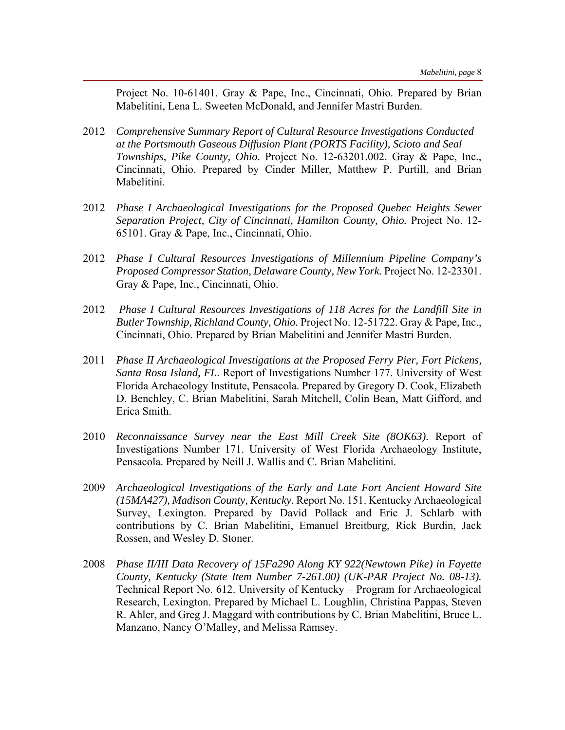Project No. 10-61401. Gray & Pape, Inc., Cincinnati, Ohio. Prepared by Brian Mabelitini, Lena L. Sweeten McDonald, and Jennifer Mastri Burden.

- 2012 *Comprehensive Summary Report of Cultural Resource Investigations Conducted at the Portsmouth Gaseous Diffusion Plant (PORTS Facility), Scioto and Seal Townships*, *Pike County, Ohio.* Project No. 12-63201.002. Gray & Pape, Inc., Cincinnati, Ohio. Prepared by Cinder Miller, Matthew P. Purtill, and Brian Mabelitini.
- 2012 *Phase I Archaeological Investigations for the Proposed Quebec Heights Sewer Separation Project, City of Cincinnati, Hamilton County, Ohio.* Project No. 12- 65101. Gray & Pape, Inc., Cincinnati, Ohio.
- 2012 *Phase I Cultural Resources Investigations of Millennium Pipeline Company's Proposed Compressor Station, Delaware County, New York.* Project No. 12-23301. Gray & Pape, Inc., Cincinnati, Ohio.
- 2012 *Phase I Cultural Resources Investigations of 118 Acres for the Landfill Site in Butler Township, Richland County, Ohio.* Project No. 12-51722. Gray & Pape, Inc., Cincinnati, Ohio. Prepared by Brian Mabelitini and Jennifer Mastri Burden.
- 2011 *Phase II Archaeological Investigations at the Proposed Ferry Pier, Fort Pickens, Santa Rosa Island, FL*. Report of Investigations Number 177. University of West Florida Archaeology Institute, Pensacola. Prepared by Gregory D. Cook, Elizabeth D. Benchley, C. Brian Mabelitini, Sarah Mitchell, Colin Bean, Matt Gifford, and Erica Smith.
- 2010 *Reconnaissance Survey near the East Mill Creek Site (8OK63)*. Report of Investigations Number 171. University of West Florida Archaeology Institute, Pensacola. Prepared by Neill J. Wallis and C. Brian Mabelitini.
- 2009 *Archaeological Investigations of the Early and Late Fort Ancient Howard Site (15MA427), Madison County, Kentucky.* Report No. 151. Kentucky Archaeological Survey, Lexington. Prepared by David Pollack and Eric J. Schlarb with contributions by C. Brian Mabelitini, Emanuel Breitburg, Rick Burdin, Jack Rossen, and Wesley D. Stoner.
- 2008 *Phase II/III Data Recovery of 15Fa290 Along KY 922(Newtown Pike) in Fayette County, Kentucky (State Item Number 7-261.00) (UK-PAR Project No. 08-13).*  Technical Report No. 612. University of Kentucky – Program for Archaeological Research, Lexington. Prepared by Michael L. Loughlin, Christina Pappas, Steven R. Ahler, and Greg J. Maggard with contributions by C. Brian Mabelitini, Bruce L. Manzano, Nancy O'Malley, and Melissa Ramsey.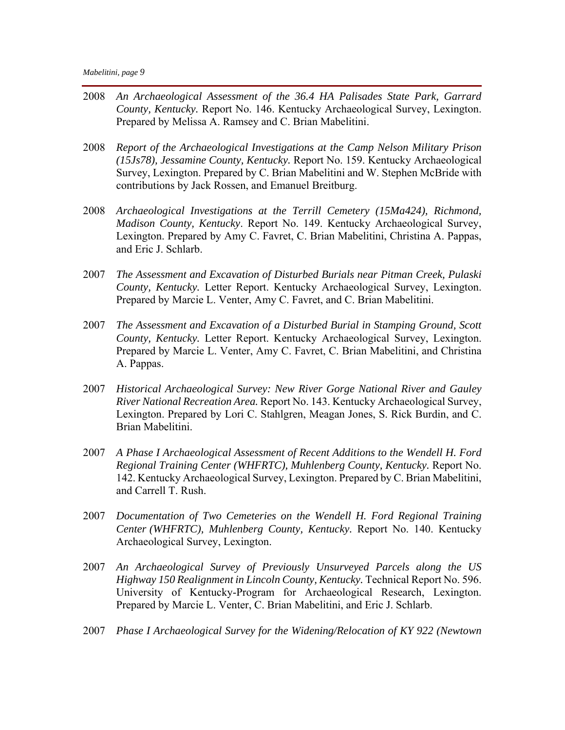- 2008 *An Archaeological Assessment of the 36.4 HA Palisades State Park, Garrard County, Kentucky.* Report No. 146. Kentucky Archaeological Survey, Lexington. Prepared by Melissa A. Ramsey and C. Brian Mabelitini.
- 2008 *Report of the Archaeological Investigations at the Camp Nelson Military Prison (15Js78), Jessamine County, Kentucky.* Report No. 159. Kentucky Archaeological Survey, Lexington. Prepared by C. Brian Mabelitini and W. Stephen McBride with contributions by Jack Rossen, and Emanuel Breitburg.
- 2008 *Archaeological Investigations at the Terrill Cemetery (15Ma424), Richmond, Madison County, Kentucky*. Report No. 149. Kentucky Archaeological Survey, Lexington. Prepared by Amy C. Favret, C. Brian Mabelitini, Christina A. Pappas, and Eric J. Schlarb.
- 2007 *The Assessment and Excavation of Disturbed Burials near Pitman Creek, Pulaski County, Kentucky.* Letter Report. Kentucky Archaeological Survey, Lexington. Prepared by Marcie L. Venter, Amy C. Favret, and C. Brian Mabelitini.
- 2007 *The Assessment and Excavation of a Disturbed Burial in Stamping Ground, Scott County, Kentucky.* Letter Report. Kentucky Archaeological Survey, Lexington. Prepared by Marcie L. Venter, Amy C. Favret, C. Brian Mabelitini, and Christina A. Pappas.
- 2007 *Historical Archaeological Survey: New River Gorge National River and Gauley River National Recreation Area.* Report No. 143. Kentucky Archaeological Survey, Lexington. Prepared by Lori C. Stahlgren, Meagan Jones, S. Rick Burdin, and C. Brian Mabelitini.
- 2007 *A Phase I Archaeological Assessment of Recent Additions to the Wendell H. Ford Regional Training Center (WHFRTC), Muhlenberg County, Kentucky.* Report No. 142. Kentucky Archaeological Survey, Lexington. Prepared by C. Brian Mabelitini, and Carrell T. Rush.
- 2007 *Documentation of Two Cemeteries on the Wendell H. Ford Regional Training Center (WHFRTC), Muhlenberg County, Kentucky.* Report No. 140. Kentucky Archaeological Survey, Lexington.
- 2007 *An Archaeological Survey of Previously Unsurveyed Parcels along the US Highway 150 Realignment in Lincoln County, Kentucky.* Technical Report No. 596. University of Kentucky-Program for Archaeological Research, Lexington. Prepared by Marcie L. Venter, C. Brian Mabelitini, and Eric J. Schlarb.
- 2007 *Phase I Archaeological Survey for the Widening/Relocation of KY 922 (Newtown*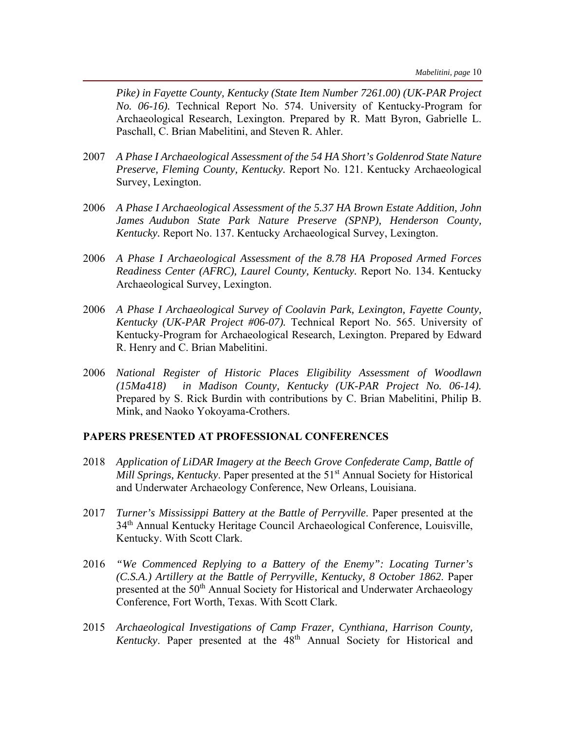*Pike) in Fayette County, Kentucky (State Item Number 7261.00) (UK-PAR Project No. 06-16).* Technical Report No. 574. University of Kentucky-Program for Archaeological Research, Lexington. Prepared by R. Matt Byron, Gabrielle L. Paschall, C. Brian Mabelitini, and Steven R. Ahler.

- 2007 *A Phase I Archaeological Assessment of the 54 HA Short's Goldenrod State Nature Preserve, Fleming County, Kentucky.* Report No. 121. Kentucky Archaeological Survey, Lexington.
- 2006 *A Phase I Archaeological Assessment of the 5.37 HA Brown Estate Addition, John James Audubon State Park Nature Preserve (SPNP), Henderson County, Kentucky.* Report No. 137. Kentucky Archaeological Survey, Lexington.
- 2006 *A Phase I Archaeological Assessment of the 8.78 HA Proposed Armed Forces Readiness Center (AFRC), Laurel County, Kentucky.* Report No. 134. Kentucky Archaeological Survey, Lexington.
- 2006 *A Phase I Archaeological Survey of Coolavin Park, Lexington, Fayette County, Kentucky (UK-PAR Project #06-07).* Technical Report No. 565. University of Kentucky-Program for Archaeological Research, Lexington. Prepared by Edward R. Henry and C. Brian Mabelitini.
- 2006 *National Register of Historic Places Eligibility Assessment of Woodlawn (15Ma418) in Madison County, Kentucky (UK-PAR Project No. 06-14).* Prepared by S. Rick Burdin with contributions by C. Brian Mabelitini, Philip B. Mink, and Naoko Yokoyama-Crothers.

#### **PAPERS PRESENTED AT PROFESSIONAL CONFERENCES**

- 2018 *Application of LiDAR Imagery at the Beech Grove Confederate Camp, Battle of Mill Springs, Kentucky*. Paper presented at the 51<sup>st</sup> Annual Society for Historical and Underwater Archaeology Conference, New Orleans, Louisiana.
- 2017 *Turner's Mississippi Battery at the Battle of Perryville*. Paper presented at the 34<sup>th</sup> Annual Kentucky Heritage Council Archaeological Conference, Louisville, Kentucky. With Scott Clark.
- 2016 *"We Commenced Replying to a Battery of the Enemy": Locating Turner's (C.S.A.) Artillery at the Battle of Perryville, Kentucky, 8 October 1862*. Paper presented at the 50<sup>th</sup> Annual Society for Historical and Underwater Archaeology Conference, Fort Worth, Texas. With Scott Clark.
- 2015 *Archaeological Investigations of Camp Frazer, Cynthiana, Harrison County, Kentucky*. Paper presented at the 48<sup>th</sup> Annual Society for Historical and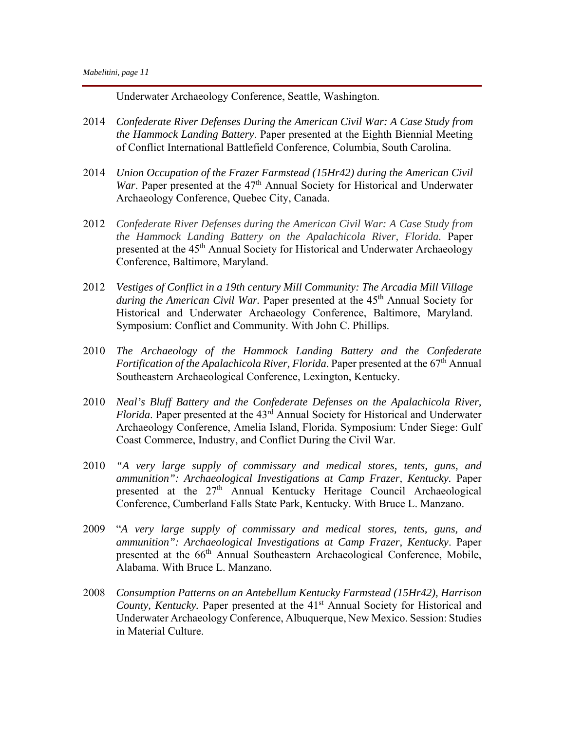Underwater Archaeology Conference, Seattle, Washington.

- 2014 *Confederate River Defenses During the American Civil War: A Case Study from the Hammock Landing Battery*. Paper presented at the Eighth Biennial Meeting of Conflict International Battlefield Conference, Columbia, South Carolina.
- 2014 *Union Occupation of the Frazer Farmstead (15Hr42) during the American Civil War*. Paper presented at the 47<sup>th</sup> Annual Society for Historical and Underwater Archaeology Conference, Quebec City, Canada.
- 2012 *Confederate River Defenses during the American Civil War: A Case Study from the Hammock Landing Battery on the Apalachicola River, Florida.* Paper presented at the 45<sup>th</sup> Annual Society for Historical and Underwater Archaeology Conference, Baltimore, Maryland.
- 2012 *Vestiges of Conflict in a 19th century Mill Community: The Arcadia Mill Village during the American Civil War.* Paper presented at the 45<sup>th</sup> Annual Society for Historical and Underwater Archaeology Conference, Baltimore, Maryland. Symposium: Conflict and Community. With John C. Phillips.
- 2010 *The Archaeology of the Hammock Landing Battery and the Confederate Fortification of the Apalachicola River, Florida.* Paper presented at the 67<sup>th</sup> Annual Southeastern Archaeological Conference, Lexington, Kentucky.
- 2010 *Neal's Bluff Battery and the Confederate Defenses on the Apalachicola River, Florida*. Paper presented at the 43rd Annual Society for Historical and Underwater Archaeology Conference, Amelia Island, Florida. Symposium: Under Siege: Gulf Coast Commerce, Industry, and Conflict During the Civil War.
- 2010 *"A very large supply of commissary and medical stores, tents, guns, and ammunition": Archaeological Investigations at Camp Frazer, Kentucky. Paper* presented at the 27<sup>th</sup> Annual Kentucky Heritage Council Archaeological Conference, Cumberland Falls State Park, Kentucky. With Bruce L. Manzano.
- 2009 "*A very large supply of commissary and medical stores, tents, guns, and ammunition": Archaeological Investigations at Camp Frazer, Kentucky*. Paper presented at the 66<sup>th</sup> Annual Southeastern Archaeological Conference, Mobile, Alabama. With Bruce L. Manzano*.*
- 2008 *Consumption Patterns on an Antebellum Kentucky Farmstead (15Hr42), Harrison County, Kentucky.* Paper presented at the 41<sup>st</sup> Annual Society for Historical and Underwater Archaeology Conference, Albuquerque, New Mexico. Session: Studies in Material Culture.